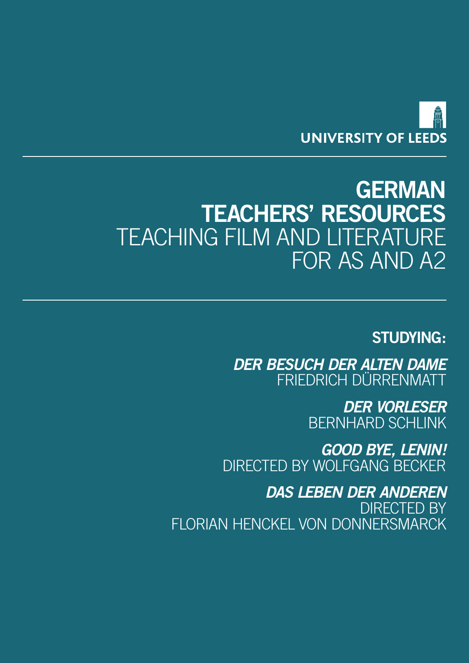

# **GERMAN TEACHERS' RESOURCES** TEACHING FILM AND LITERATURE FOR AS AND A2

# **STUDYING:**

*DER BESUCH DER ALTEN DAME* FRIEDRICH DÜRRENMATT

> *DER VORLESER* BERNHARD SCHLINK

*GOOD BYE, LENIN!* DIRECTED BY WOLFGANG BECKER

*DAS LEBEN DER ANDEREN* DIRECTED BY FLORIAN HENCKEL VON DONNERSMARCK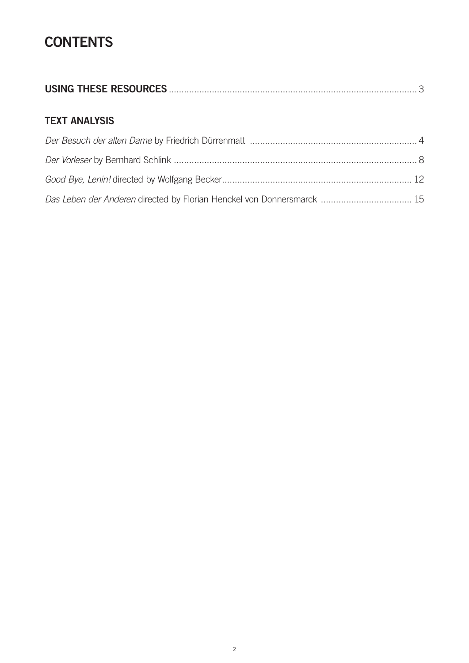# **CONTENTS**

|--|--|

# **TEXT ANALYSIS**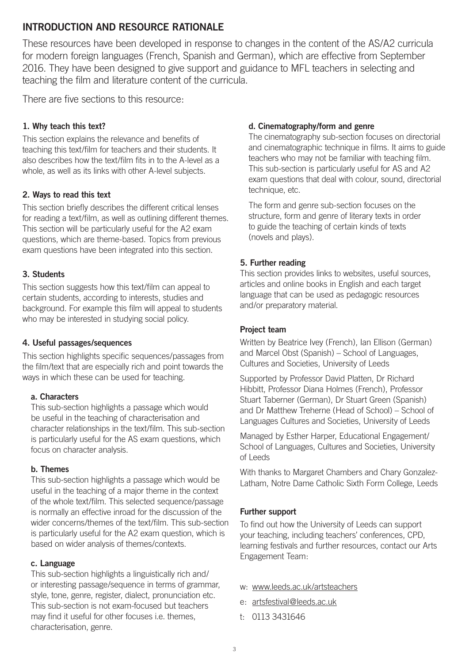# <span id="page-2-0"></span>**INTRODUCTION AND RESOURCE RATIONALE**

These resources have been developed in response to changes in the content of the AS/A2 curricula for modern foreign languages (French, Spanish and German), which are effective from September 2016. They have been designed to give support and guidance to MFL teachers in selecting and teaching the film and literature content of the curricula.

There are five sections to this resource:

# **1. Why teach this text?**

This section explains the relevance and benefits of teaching this text/film for teachers and their students. It also describes how the text/film fits in to the A-level as a whole, as well as its links with other A-level subjects.

# **2. Ways to read this text**

This section briefly describes the different critical lenses for reading a text/film, as well as outlining different themes. This section will be particularly useful for the A2 exam questions, which are theme-based. Topics from previous exam questions have been integrated into this section.

# **3. Students**

This section suggests how this text/film can appeal to certain students, according to interests, studies and background. For example this film will appeal to students who may be interested in studying social policy.

# **4. Useful passages/sequences**

This section highlights specific sequences/passages from the film/text that are especially rich and point towards the ways in which these can be used for teaching.

# **a. Characters**

This sub-section highlights a passage which would be useful in the teaching of characterisation and character relationships in the text/film. This sub-section is particularly useful for the AS exam questions, which focus on character analysis.

# **b. Themes**

This sub-section highlights a passage which would be useful in the teaching of a major theme in the context of the whole text/film. This selected sequence/passage is normally an effective inroad for the discussion of the wider concerns/themes of the text/film. This sub-section is particularly useful for the A2 exam question, which is based on wider analysis of themes/contexts.

# **c. Language**

This sub-section highlights a linguistically rich and/ or interesting passage/sequence in terms of grammar, style, tone, genre, register, dialect, pronunciation etc. This sub-section is not exam-focused but teachers may find it useful for other focuses i.e. themes, characterisation, genre.

# **d. Cinematography/form and genre**

The cinematography sub-section focuses on directorial and cinematographic technique in films. It aims to guide teachers who may not be familiar with teaching film. This sub-section is particularly useful for AS and A2 exam questions that deal with colour, sound, directorial technique, etc.

The form and genre sub-section focuses on the structure, form and genre of literary texts in order to guide the teaching of certain kinds of texts (novels and plays).

# **5. Further reading**

This section provides links to websites, useful sources, articles and online books in English and each target language that can be used as pedagogic resources and/or preparatory material.

# **Project team**

Written by Beatrice Ivey (French), Ian Ellison (German) and Marcel Obst (Spanish) – School of Languages, Cultures and Societies, University of Leeds

Supported by Professor David Platten, Dr Richard Hibbitt, Professor Diana Holmes (French), Professor Stuart Taberner (German), Dr Stuart Green (Spanish) and Dr Matthew Treherne (Head of School) – School of Languages Cultures and Societies, University of Leeds

Managed by Esther Harper, Educational Engagement/ School of Languages, Cultures and Societies, University of Leeds

With thanks to Margaret Chambers and Chary Gonzalez-Latham, Notre Dame Catholic Sixth Form College, Leeds

# **Further support**

To find out how the University of Leeds can support your teaching, including teachers' conferences, CPD, learning festivals and further resources, contact our Arts Engagement Team:

- w: <www.leeds.ac.uk/artsteachers>
- e: [artsfestival@leeds.ac.uk](mailto:artsfestival%40leeds.ac.uk?subject=)
- t: 0113 3431646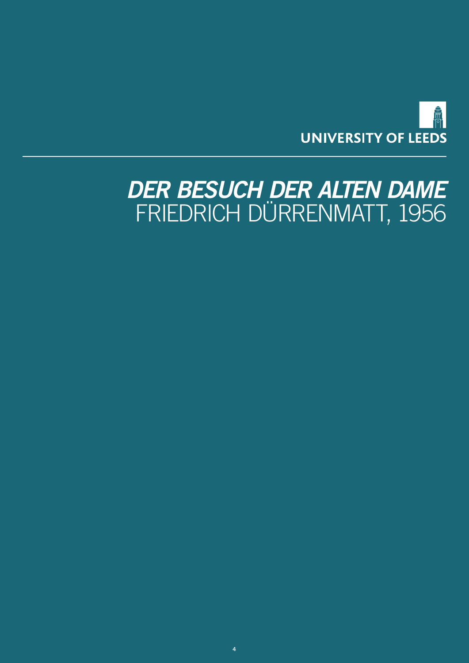

# <span id="page-3-0"></span>*DER BESUCH DER ALTEN DAME* FRIEDRICH DÜRRENMATT, 1956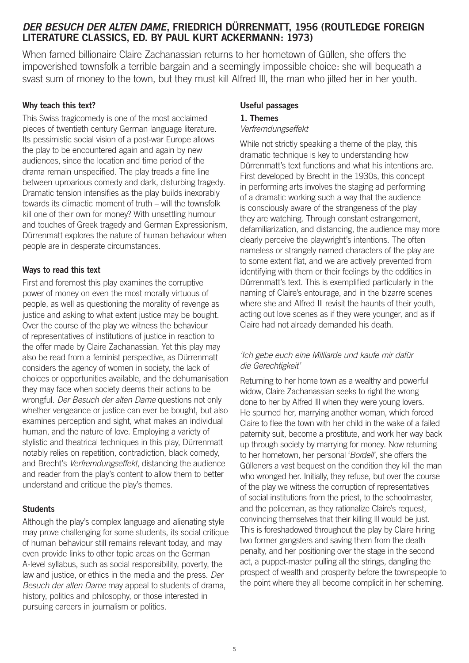# *DER BESUCH DER ALTEN DAME***, FRIEDRICH DÜRRENMATT, 1956 (ROUTLEDGE FOREIGN LITERATURE CLASSICS, ED. BY PAUL KURT ACKERMANN: 1973)**

When famed billionaire Claire Zachanassian returns to her hometown of Güllen, she offers the impoverished townsfolk a terrible bargain and a seemingly impossible choice: she will bequeath a svast sum of money to the town, but they must kill Alfred Ill, the man who jilted her in her youth.

### **Why teach this text?**

This Swiss tragicomedy is one of the most acclaimed pieces of twentieth century German language literature. Its pessimistic social vision of a post-war Europe allows the play to be encountered again and again by new audiences, since the location and time period of the drama remain unspecified. The play treads a fine line between uproarious comedy and dark, disturbing tragedy. Dramatic tension intensifies as the play builds inexorably towards its climactic moment of truth – will the townsfolk kill one of their own for money? With unsettling humour and touches of Greek tragedy and German Expressionism, Dürrenmatt explores the nature of human behaviour when people are in desperate circumstances.

### **Ways to read this text**

First and foremost this play examines the corruptive power of money on even the most morally virtuous of people, as well as questioning the morality of revenge as justice and asking to what extent justice may be bought. Over the course of the play we witness the behaviour of representatives of institutions of justice in reaction to the offer made by Claire Zachanassian. Yet this play may also be read from a feminist perspective, as Dürrenmatt considers the agency of women in society, the lack of choices or opportunities available, and the dehumanisation they may face when society deems their actions to be wrongful. *Der Besuch der alten Dame* questions not only whether vengeance or justice can ever be bought, but also examines perception and sight, what makes an individual human, and the nature of love. Employing a variety of stylistic and theatrical techniques in this play, Dürrenmatt notably relies on repetition, contradiction, black comedy, and Brecht's *Verfremdungseffekt*, distancing the audience and reader from the play's content to allow them to better understand and critique the play's themes.

# **Students**

Although the play's complex language and alienating style may prove challenging for some students, its social critique of human behaviour still remains relevant today, and may even provide links to other topic areas on the German A-level syllabus, such as social responsibility, poverty, the law and justice, or ethics in the media and the press. *Der Besuch der alten Dame* may appeal to students of drama, history, politics and philosophy, or those interested in pursuing careers in journalism or politics.

# **Useful passages**

## **1. Themes**

#### *Verfremdungseffekt*

While not strictly speaking a theme of the play, this dramatic technique is key to understanding how Dürrenmatt's text functions and what his intentions are. First developed by Brecht in the 1930s, this concept in performing arts involves the staging ad performing of a dramatic working such a way that the audience is consciously aware of the strangeness of the play they are watching. Through constant estrangement, defamiliarization, and distancing, the audience may more clearly perceive the playwright's intentions. The often nameless or strangely named characters of the play are to some extent flat, and we are actively prevented from identifying with them or their feelings by the oddities in Dürrenmatt's text. This is exemplified particularly in the naming of Claire's entourage, and in the bizarre scenes where she and Alfred Ill revisit the haunts of their youth, acting out love scenes as if they were younger, and as if Claire had not already demanded his death.

# *'Ich gebe euch eine Milliarde und kaufe mir dafür die Gerechtigkeit'*

Returning to her home town as a wealthy and powerful widow, Claire Zachanassian seeks to right the wrong done to her by Alfred Ill when they were young lovers. He spurned her, marrying another woman, which forced Claire to flee the town with her child in the wake of a failed paternity suit, become a prostitute, and work her way back up through society by marrying for money. Now returning to her hometown, her personal '*Bordell*', she offers the Gülleners a vast bequest on the condition they kill the man who wronged her. Initially, they refuse, but over the course of the play we witness the corruption of representatives of social institutions from the priest, to the schoolmaster, and the policeman, as they rationalize Claire's request, convincing themselves that their killing Ill would be just. This is foreshadowed throughout the play by Claire hiring two former gangsters and saving them from the death penalty, and her positioning over the stage in the second act, a puppet-master pulling all the strings, dangling the prospect of wealth and prosperity before the townspeople to the point where they all become complicit in her scheming.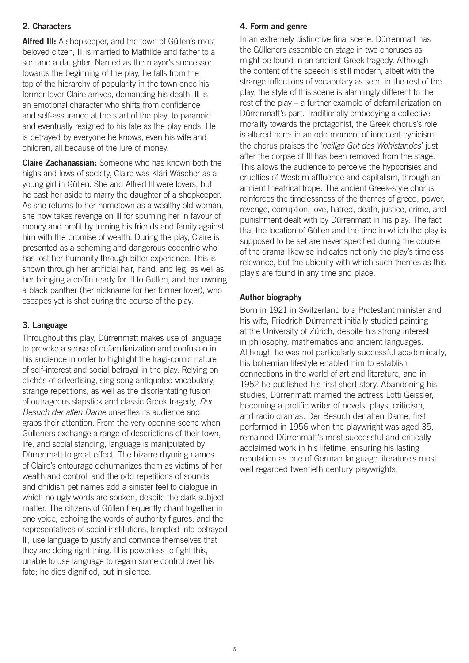# **2. Characters**

**Alfred III:** A shopkeeper, and the town of Güllen's most beloved citzen, Ill is married to Mathilde and father to a son and a daughter. Named as the mayor's successor towards the beginning of the play, he falls from the top of the hierarchy of popularity in the town once his former lover Claire arrives, demanding his death. Ill is an emotional character who shifts from confidence and self-assurance at the start of the play, to paranoid and eventually resigned to his fate as the play ends. He is betrayed by everyone he knows, even his wife and children, all because of the lure of money.

**Claire Zachanassian:** Someone who has known both the highs and lows of society, Claire was Kläri Wäscher as a young girl in Güllen. She and Alfred Ill were lovers, but he cast her aside to marry the daughter of a shopkeeper. As she returns to her hometown as a wealthy old woman, she now takes revenge on Ill for spurning her in favour of money and profit by turning his friends and family against him with the promise of wealth. During the play, Claire is presented as a scheming and dangerous eccentric who has lost her humanity through bitter experience. This is shown through her artificial hair, hand, and leg, as well as her bringing a coffin ready for Ill to Güllen, and her owning a black panther (her nickname for her former lover), who escapes yet is shot during the course of the play.

# **3. Language**

Throughout this play, Dürrenmatt makes use of language to provoke a sense of defamiliarization and confusion in his audience in order to highlight the tragi-comic nature of self-interest and social betrayal in the play. Relying on clichés of advertising, sing-song antiquated vocabulary, strange repetitions, as well as the disorientating fusion of outrageous slapstick and classic Greek tragedy, *Der Besuch der alten Dame* unsettles its audience and grabs their attention. From the very opening scene when Gülleners exchange a range of descriptions of their town, life, and social standing, language is manipulated by Dürrenmatt to great effect. The bizarre rhyming names of Claire's entourage dehumanizes them as victims of her wealth and control, and the odd repetitions of sounds and childish pet names add a sinister feel to dialogue in which no ugly words are spoken, despite the dark subject matter. The citizens of Güllen frequently chant together in one voice, echoing the words of authority figures, and the representatives of social institutions, tempted into betrayed Ill, use language to justify and convince themselves that they are doing right thing. Ill is powerless to fight this, unable to use language to regain some control over his fate; he dies dignified, but in silence.

# **4. Form and genre**

In an extremely distinctive final scene, Dürrenmatt has the Gülleners assemble on stage in two choruses as might be found in an ancient Greek tragedy. Although the content of the speech is still modern, albeit with the strange inflections of vocabulary as seen in the rest of the play, the style of this scene is alarmingly different to the rest of the play – a further example of defamiliarization on Dürrenmatt's part. Traditionally embodying a collective morality towards the protagonist, the Greek chorus's role is altered here: in an odd moment of innocent cynicism, the chorus praises the '*heilige Gut des Wohlstandes*' just after the corpse of Ill has been removed from the stage. This allows the audience to perceive the hypocrisies and cruelties of Western affluence and capitalism, through an ancient theatrical trope. The ancient Greek-style chorus reinforces the timelessness of the themes of greed, power, revenge, corruption, love, hatred, death, justice, crime, and punishment dealt with by Dürrenmatt in his play. The fact that the location of Güllen and the time in which the play is supposed to be set are never specified during the course of the drama likewise indicates not only the play's timeless relevance, but the ubiquity with which such themes as this play's are found in any time and place.

# **Author biography**

Born in 1921 in Switzerland to a Protestant minister and his wife, Friedrich Dürrematt initially studied painting at the University of Zürich, despite his strong interest in philosophy, mathematics and ancient languages. Although he was not particularly successful academically, his bohemian lifestyle enabled him to establish connections in the world of art and literature, and in 1952 he published his first short story. Abandoning his studies, Dürrenmatt married the actress Lotti Geissler, becoming a prolific writer of novels, plays, criticism, and radio dramas. Der Besuch der alten Dame, first performed in 1956 when the playwright was aged 35, remained Dürrenmatt's most successful and critically acclaimed work in his lifetime, ensuring his lasting reputation as one of German language literature's most well regarded twentieth century playwrights.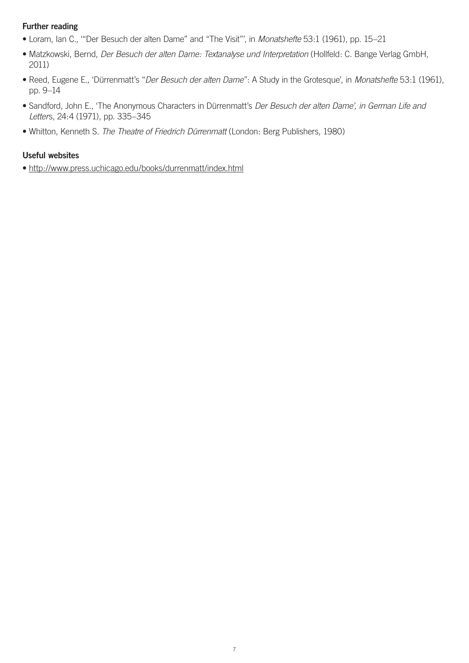# **Further reading**

- Loram, Ian C., '"Der Besuch der alten Dame" and "The Visit"', in *Monatshefte* 53:1 (1961), pp. 15–21
- Matzkowski, Bernd, *Der Besuch der alten Dame: Textanalyse und Interpretation* (Hollfeld: C. Bange Verlag GmbH, 2011)
- Reed, Eugene E., 'Dürrenmatt's "*Der Besuch der alten Dame*": A Study in the Grotesque', in *Monatshefte* 53:1 (1961), pp. 9–14
- Sandford, John E., 'The Anonymous Characters in Dürrenmatt's *Der Besuch der alten Dame', in German Life and Letter*s, 24:4 (1971), pp. 335–345
- Whitton, Kenneth S. *The Theatre of Friedrich Dürrenmatt* (London: Berg Publishers, 1980)

### **Useful websites**

• <http://www.press.uchicago.edu/books/durrenmatt/index.html>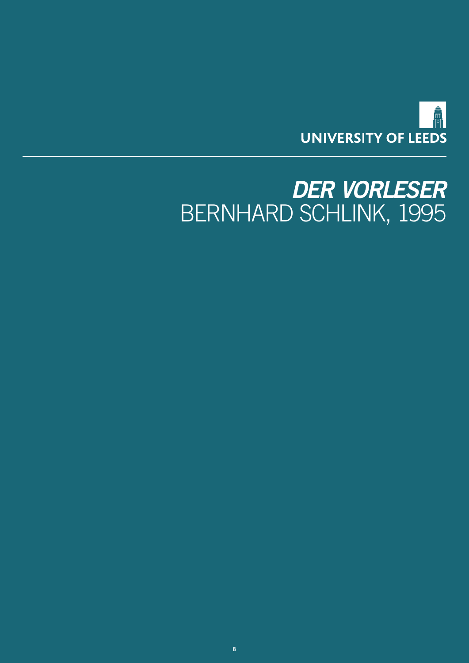

# <span id="page-7-0"></span>*DER VORLESER* BERNHARD SCHLINK, 1995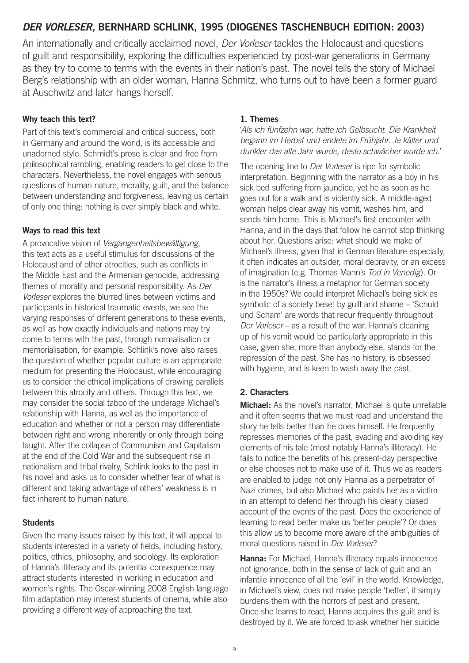# *DER VORLESER***, BERNHARD SCHLINK, 1995 (DIOGENES TASCHENBUCH EDITION: 2003)**

An internationally and critically acclaimed novel, *Der Vorleser* tackles the Holocaust and questions of guilt and responsibility, exploring the difficulties experienced by post-war generations in Germany as they try to come to terms with the events in their nation's past. The novel tells the story of Michael Berg's relationship with an older woman, Hanna Schmitz, who turns out to have been a former guard at Auschwitz and later hangs herself.

# **Why teach this text?**

Part of this text's commercial and critical success, both in Germany and around the world, is its accessible and unadorned style. Schmidt's prose is clear and free from philosophical rambling, enabling readers to get close to the characters. Nevertheless, the novel engages with serious questions of human nature, morality, guilt, and the balance between understanding and forgiveness, leaving us certain of only one thing: nothing is ever simply black and white.

# **Ways to read this text**

A provocative vision of *Vergangenheitsbewältigung*, this text acts as a useful stimulus for discussions of the Holocaust and of other atrocities, such as conflicts in the Middle East and the Armenian genocide, addressing themes of morality and personal responsibility. As *Der Vorleser* explores the blurred lines between victims and participants in historical traumatic events, we see the varying responses of different generations to these events, as well as how exactly individuals and nations may try come to terms with the past, through normalisation or memorialisation, for example. Schlink's novel also raises the question of whether popular culture is an appropriate medium for presenting the Holocaust, while encouraging us to consider the ethical implications of drawing parallels between this atrocity and others. Through this text, we may consider the social taboo of the underage Michael's relationship with Hanna, as well as the importance of education and whether or not a person may differentiate between right and wrong inherently or only through being taught. After the collapse of Communism and Capitalism at the end of the Cold War and the subsequent rise in nationalism and tribal rivalry, Schlink looks to the past in his novel and asks us to consider whether fear of what is different and taking advantage of others' weakness is in fact inherent to human nature.

# **Students**

Given the many issues raised by this text, it will appeal to students interested in a variety of fields, including history, politics, ethics, philosophy, and sociology. Its exploration of Hanna's illiteracy and its potential consequence may attract students interested in working in education and women's rights. The Oscar-winning 2008 English language film adaptation may interest students of cinema, while also providing a different way of approaching the text.

### **1. Themes**

'*Als ich fünfzehn war, hatte ich Gelbsucht. Die Krankheit begann im Herbst und endete im Frühjahr. Je kälter und dunkler das alte Jahr wurde, desto schwächer wurde ich.*'

The opening line to *Der Vorleser* is ripe for symbolic interpretation. Beginning with the narrator as a boy in his sick bed suffering from jaundice, yet he as soon as he goes out for a walk and is violently sick. A middle-aged woman helps clear away his vomit, washes him, and sends him home. This is Michael's first encounter with Hanna, and in the days that follow he cannot stop thinking about her. Questions arise: what should we make of Michael's illness, given that in German literature especially, it often indicates an outsider, moral depravity, or an excess of imagination (e.g. Thomas Mann's *Tod in Venedig*). Or is the narrator's illness a metaphor for German society in the 1950s? We could interpret Michael's being sick as symbolic of a society beset by guilt and shame – 'Schuld und Scham' are words that recur frequently throughout *Der Vorleser* – as a result of the war. Hanna's cleaning up of his vomit would be particularly appropriate in this case, given she, more than anybody else, stands for the repression of the past. She has no history, is obsessed with hygiene, and is keen to wash away the past.

# **2. Characters**

**Michael:** As the novel's narrator, Michael is quite unreliable and it often seems that we must read and understand the story he tells better than he does himself. He frequently represses memories of the past, evading and avoiding key elements of his tale (most notably Hanna's illiteracy). He fails to notice the benefits of his present-day perspective or else chooses not to make use of it. Thus we as readers are enabled to judge not only Hanna as a perpetrator of Nazi crimes, but also Michael who paints her as a victim in an attempt to defend her through his clearly biased account of the events of the past. Does the experience of learning to read better make us 'better people'? Or does this allow us to become more aware of the ambiguities of moral questions raised in *Der Vorleser*?

**Hanna:** For Michael, Hanna's illiteracy equals innocence not ignorance, both in the sense of lack of guilt and an infantile innocence of all the 'evil' in the world. Knowledge, in Michael's view, does not make people 'better', it simply burdens them with the horrors of past and present. Once she learns to read, Hanna acquires this guilt and is destroyed by it. We are forced to ask whether her suicide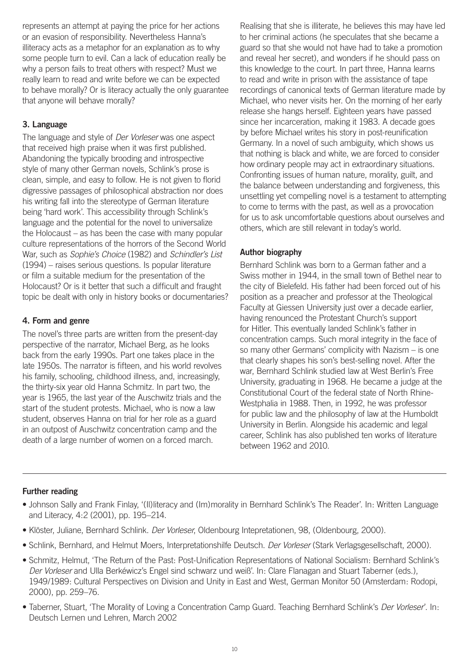represents an attempt at paying the price for her actions or an evasion of responsibility. Nevertheless Hanna's illiteracy acts as a metaphor for an explanation as to why some people turn to evil. Can a lack of education really be why a person fails to treat others with respect? Must we really learn to read and write before we can be expected to behave morally? Or is literacy actually the only guarantee that anyone will behave morally?

# **3. Language**

The language and style of *Der Vorleser* was one aspect that received high praise when it was first published. Abandoning the typically brooding and introspective style of many other German novels, Schlink's prose is clean, simple, and easy to follow. He is not given to florid digressive passages of philosophical abstraction nor does his writing fall into the stereotype of German literature being 'hard work'. This accessibility through Schlink's language and the potential for the novel to universalize the Holocaust – as has been the case with many popular culture representations of the horrors of the Second World War, such as *Sophie's Choice* (1982) and *Schindler's List* (1994) – raises serious questions. Is popular literature or film a suitable medium for the presentation of the Holocaust? Or is it better that such a difficult and fraught topic be dealt with only in history books or documentaries?

# **4. Form and genre**

The novel's three parts are written from the present-day perspective of the narrator, Michael Berg, as he looks back from the early 1990s. Part one takes place in the late 1950s. The narrator is fifteen, and his world revolves his family, schooling, childhood illness, and, increasingly, the thirty-six year old Hanna Schmitz. In part two, the year is 1965, the last year of the Auschwitz trials and the start of the student protests. Michael, who is now a law student, observes Hanna on trial for her role as a guard in an outpost of Auschwitz concentration camp and the death of a large number of women on a forced march.

Realising that she is illiterate, he believes this may have led to her criminal actions (he speculates that she became a guard so that she would not have had to take a promotion and reveal her secret), and wonders if he should pass on this knowledge to the court. In part three, Hanna learns to read and write in prison with the assistance of tape recordings of canonical texts of German literature made by Michael, who never visits her. On the morning of her early release she hangs herself. Eighteen years have passed since her incarceration, making it 1983. A decade goes by before Michael writes his story in post-reunification Germany. In a novel of such ambiguity, which shows us that nothing is black and white, we are forced to consider how ordinary people may act in extraordinary situations. Confronting issues of human nature, morality, guilt, and the balance between understanding and forgiveness, this unsettling yet compelling novel is a testament to attempting to come to terms with the past, as well as a provocation for us to ask uncomfortable questions about ourselves and others, which are still relevant in today's world.

# **Author biography**

Bernhard Schlink was born to a German father and a Swiss mother in 1944, in the small town of Bethel near to the city of Bielefeld. His father had been forced out of his position as a preacher and professor at the Theological Faculty at Giessen University just over a decade earlier, having renounced the Protestant Church's support for Hitler. This eventually landed Schlink's father in concentration camps. Such moral integrity in the face of so many other Germans' complicity with Nazism – is one that clearly shapes his son's best-selling novel. After the war, Bernhard Schlink studied law at West Berlin's Free University, graduating in 1968. He became a judge at the Constitutional Court of the federal state of North Rhine-Westphalia in 1988. Then, in 1992, he was professor for public law and the philosophy of law at the Humboldt University in Berlin. Alongside his academic and legal career, Schlink has also published ten works of literature between 1962 and 2010.

# **Further reading**

- Johnson Sally and Frank Finlay, '(Il)literacy and (Im)morality in Bernhard Schlink's The Reader'. In: Written Language and Literacy, 4:2 (2001), pp. 195–214.
- Klöster, Juliane, Bernhard Schlink. *Der Vorleser*, Oldenbourg Intepretationen, 98, (Oldenbourg, 2000).
- Schlink, Bernhard, and Helmut Moers, Interpretationshilfe Deutsch. *Der Vorleser* (Stark Verlagsgesellschaft, 2000).
- Schmitz, Helmut, 'The Return of the Past: Post-Unification Representations of National Socialism: Bernhard Schlink's *Der Vorleser* and Ulla Berkéwicz's Engel sind schwarz und weiß'. In: Clare Flanagan and Stuart Taberner (eds.), 1949/1989: Cultural Perspectives on Division and Unity in East and West, German Monitor 50 (Amsterdam: Rodopi, 2000), pp. 259–76.
- Taberner, Stuart, 'The Morality of Loving a Concentration Camp Guard. Teaching Bernhard Schlink's *Der Vorleser*'. In: Deutsch Lernen und Lehren, March 2002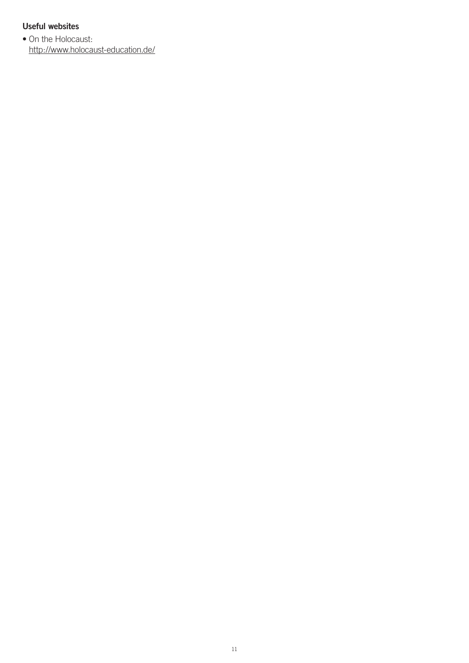# **Useful websites**

• On the Holocaust: <http://www.holocaust-education.de/>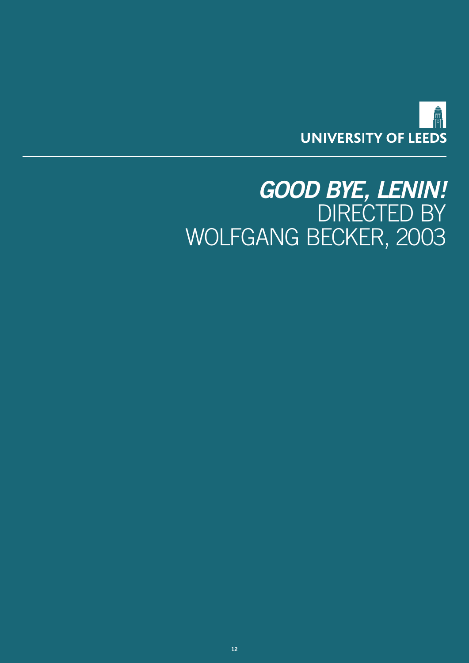

# <span id="page-11-0"></span>*GOOD BYE, LENIN!*  DIRECTED BY WOLFGANG BECKER, 2003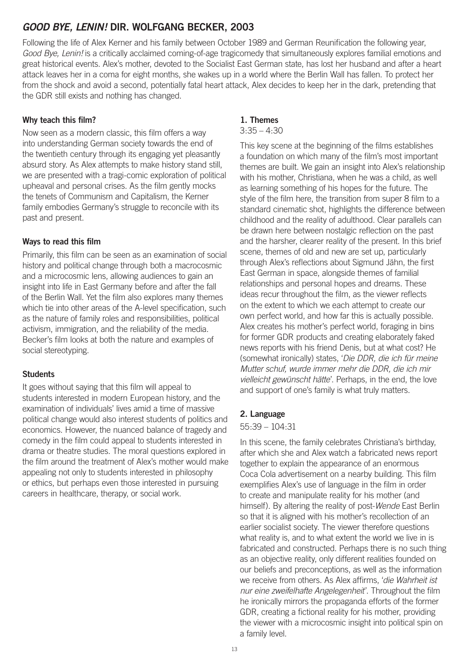# *GOOD BYE, LENIN!* **DIR. WOLFGANG BECKER, 2003**

Following the life of Alex Kerner and his family between October 1989 and German Reunification the following year, *Good Bye, Lenin!* is a critically acclaimed coming-of-age tragicomedy that simultaneously explores familial emotions and great historical events. Alex's mother, devoted to the Socialist East German state, has lost her husband and after a heart attack leaves her in a coma for eight months, she wakes up in a world where the Berlin Wall has fallen. To protect her from the shock and avoid a second, potentially fatal heart attack, Alex decides to keep her in the dark, pretending that the GDR still exists and nothing has changed.

# **Why teach this film?**

Now seen as a modern classic, this film offers a way into understanding German society towards the end of the twentieth century through its engaging yet pleasantly absurd story. As Alex attempts to make history stand still, we are presented with a tragi-comic exploration of political upheaval and personal crises. As the film gently mocks the tenets of Communism and Capitalism, the Kerner family embodies Germany's struggle to reconcile with its past and present.

# **Ways to read this film**

Primarily, this film can be seen as an examination of social history and political change through both a macrocosmic and a microcosmic lens, allowing audiences to gain an insight into life in East Germany before and after the fall of the Berlin Wall. Yet the film also explores many themes which tie into other areas of the A-level specification, such as the nature of family roles and responsibilities, political activism, immigration, and the reliability of the media. Becker's film looks at both the nature and examples of social stereotyping.

# **Students**

It goes without saying that this film will appeal to students interested in modern European history, and the examination of individuals' lives amid a time of massive political change would also interest students of politics and economics. However, the nuanced balance of tragedy and comedy in the film could appeal to students interested in drama or theatre studies. The moral questions explored in the film around the treatment of Alex's mother would make appealing not only to students interested in philosophy or ethics, but perhaps even those interested in pursuing careers in healthcare, therapy, or social work.

# **1. Themes**

#### $3:35 - 4:30$

This key scene at the beginning of the films establishes a foundation on which many of the film's most important themes are built. We gain an insight into Alex's relationship with his mother, Christiana, when he was a child, as well as learning something of his hopes for the future. The style of the film here, the transition from super 8 film to a standard cinematic shot, highlights the difference between childhood and the reality of adulthood. Clear parallels can be drawn here between nostalgic reflection on the past and the harsher, clearer reality of the present. In this brief scene, themes of old and new are set up, particularly through Alex's reflections about Sigmund Jähn, the first East German in space, alongside themes of familial relationships and personal hopes and dreams. These ideas recur throughout the film, as the viewer reflects on the extent to which we each attempt to create our own perfect world, and how far this is actually possible. Alex creates his mother's perfect world, foraging in bins for former GDR products and creating elaborately faked news reports with his friend Denis, but at what cost? He (somewhat ironically) states, '*Die DDR, die ich für meine Mutter schuf, wurde immer mehr die DDR, die ich mir vielleicht gewünscht hätte*'. Perhaps, in the end, the love and support of one's family is what truly matters.

# **2. Language**

### 55:39 – 104:31

In this scene, the family celebrates Christiana's birthday, after which she and Alex watch a fabricated news report together to explain the appearance of an enormous Coca Cola advertisement on a nearby building. This film exemplifies Alex's use of language in the film in order to create and manipulate reality for his mother (and himself). By altering the reality of post-*Wende* East Berlin so that it is aligned with his mother's recollection of an earlier socialist society. The viewer therefore questions what reality is, and to what extent the world we live in is fabricated and constructed. Perhaps there is no such thing as an objective reality, only different realities founded on our beliefs and preconceptions, as well as the information we receive from others. As Alex affirms, '*die Wahrheit ist nur eine zweifelhafte Angelegenheit*'. Throughout the film he ironically mirrors the propaganda efforts of the former GDR, creating a fictional reality for his mother, providing the viewer with a microcosmic insight into political spin on a family level.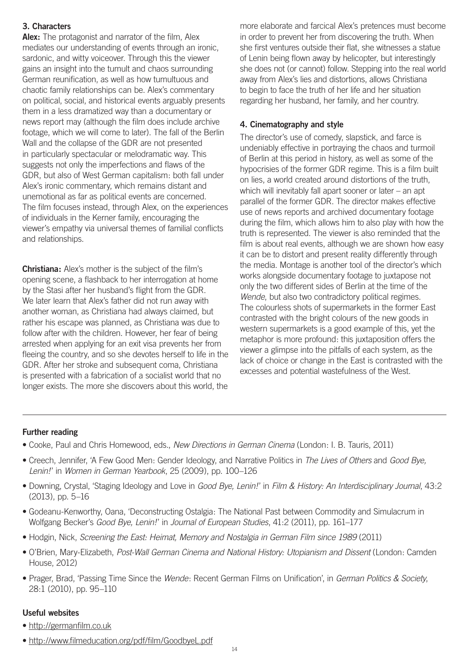# **3. Characters**

**Alex:** The protagonist and narrator of the film, Alex mediates our understanding of events through an ironic, sardonic, and witty voiceover. Through this the viewer gains an insight into the tumult and chaos surrounding German reunification, as well as how tumultuous and chaotic family relationships can be. Alex's commentary on political, social, and historical events arguably presents them in a less dramatized way than a documentary or news report may (although the film does include archive footage, which we will come to later). The fall of the Berlin Wall and the collapse of the GDR are not presented in particularly spectacular or melodramatic way. This suggests not only the imperfections and flaws of the GDR, but also of West German capitalism: both fall under Alex's ironic commentary, which remains distant and unemotional as far as political events are concerned. The film focuses instead, through Alex, on the experiences of individuals in the Kerner family, encouraging the viewer's empathy via universal themes of familial conflicts and relationships.

**Christiana:** Alex's mother is the subject of the film's opening scene, a flashback to her interrogation at home by the Stasi after her husband's flight from the GDR. We later learn that Alex's father did not run away with another woman, as Christiana had always claimed, but rather his escape was planned, as Christiana was due to follow after with the children. However, her fear of being arrested when applying for an exit visa prevents her from fleeing the country, and so she devotes herself to life in the GDR. After her stroke and subsequent coma, Christiana is presented with a fabrication of a socialist world that no longer exists. The more she discovers about this world, the

more elaborate and farcical Alex's pretences must become in order to prevent her from discovering the truth. When she first ventures outside their flat, she witnesses a statue of Lenin being flown away by helicopter, but interestingly she does not (or cannot) follow. Stepping into the real world away from Alex's lies and distortions, allows Christiana to begin to face the truth of her life and her situation regarding her husband, her family, and her country.

# **4. Cinematography and style**

The director's use of comedy, slapstick, and farce is undeniably effective in portraying the chaos and turmoil of Berlin at this period in history, as well as some of the hypocrisies of the former GDR regime. This is a film built on lies, a world created around distortions of the truth, which will inevitably fall apart sooner or later – an apt parallel of the former GDR. The director makes effective use of news reports and archived documentary footage during the film, which allows him to also play with how the truth is represented. The viewer is also reminded that the film is about real events, although we are shown how easy it can be to distort and present reality differently through the media. Montage is another tool of the director's which works alongside documentary footage to juxtapose not only the two different sides of Berlin at the time of the *Wende*, but also two contradictory political regimes. The colourless shots of supermarkets in the former East contrasted with the bright colours of the new goods in western supermarkets is a good example of this, yet the metaphor is more profound: this juxtaposition offers the viewer a glimpse into the pitfalls of each system, as the lack of choice or change in the East is contrasted with the excesses and potential wastefulness of the West.

### **Further reading**

- Cooke, Paul and Chris Homewood, eds., *New Directions in German Cinema* (London: I. B. Tauris, 2011)
- Creech, Jennifer, 'A Few Good Men: Gender Ideology, and Narrative Politics in *The Lives of Others* and *Good Bye, Lenin!* ' in *Women in German Yearbook*, 25 (2009), pp. 100–126
- Downing, Crystal, 'Staging Ideology and Love in *Good Bye, Lenin!* ' in *Film & History: An Interdisciplinary Journal*, 43:2 (2013), pp. 5–16
- Godeanu-Kenworthy, Oana, 'Deconstructing Ostalgia: The National Past between Commodity and Simulacrum in Wolfgang Becker's *Good Bye, Lenin!* ' in *Journal of European Studies*, 41:2 (2011), pp. 161–177
- Hodgin, Nick, *Screening the East: Heimat, Memory and Nostalgia in German Film since 1989* (2011)
- O'Brien, Mary-Elizabeth, *Post-Wall German Cinema and National History: Utopianism and Dissent* (London: Camden House, 2012)
- Prager, Brad, 'Passing Time Since the *Wende*: Recent German Films on Unification', in *German Politics & Society*, 28:1 (2010), pp. 95–110

# **Useful websites**

- <http://germanfilm.co.uk>
- <http://www.filmeducation.org/pdf/film/GoodbyeL.pdf>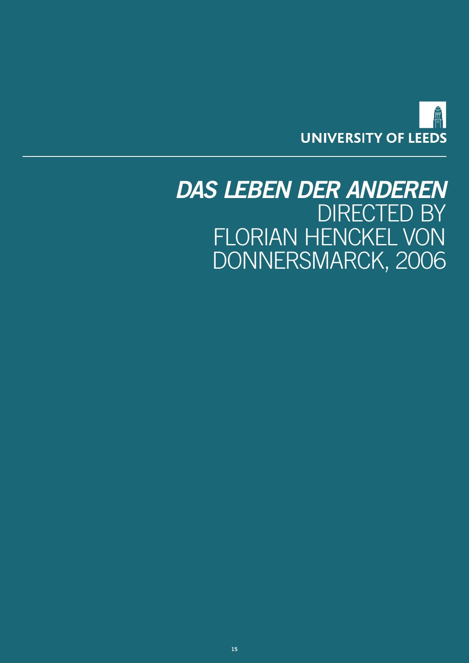

# <span id="page-14-0"></span>*DAS LEBEN DER ANDEREN*  DIRECTED BY FLORIAN HENCKEL VON DONNERSMARCK, 2006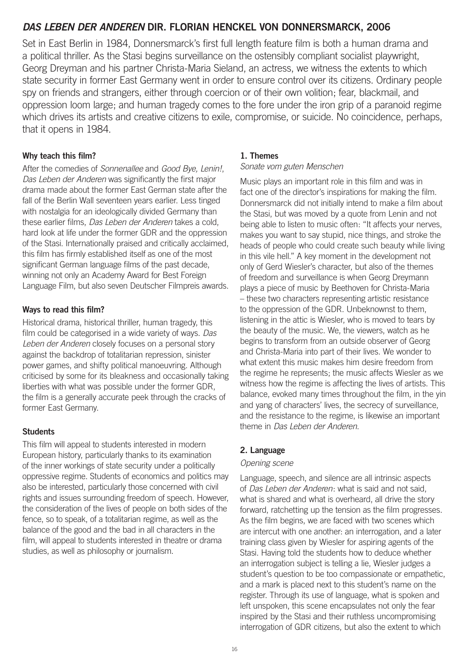# *DAS LEBEN DER ANDEREN* **DIR. FLORIAN HENCKEL VON DONNERSMARCK, 2006**

Set in East Berlin in 1984, Donnersmarck's first full length feature film is both a human drama and a political thriller. As the Stasi begins surveillance on the ostensibly compliant socialist playwright, Georg Dreyman and his partner Christa-Maria Sieland, an actress, we witness the extents to which state security in former East Germany went in order to ensure control over its citizens. Ordinary people spy on friends and strangers, either through coercion or of their own volition; fear, blackmail, and oppression loom large; and human tragedy comes to the fore under the iron grip of a paranoid regime which drives its artists and creative citizens to exile, compromise, or suicide. No coincidence, perhaps, that it opens in 1984.

# **Why teach this film?**

After the comedies of *Sonnenallee* and *Good Bye, Lenin!*, *Das Leben der Anderen* was significantly the first major drama made about the former East German state after the fall of the Berlin Wall seventeen years earlier. Less tinged with nostalgia for an ideologically divided Germany than these earlier films, *Das Leben der Anderen* takes a cold, hard look at life under the former GDR and the oppression of the Stasi. Internationally praised and critically acclaimed, this film has firmly established itself as one of the most significant German language films of the past decade, winning not only an Academy Award for Best Foreign Language Film, but also seven Deutscher Filmpreis awards.

# **Ways to read this film?**

Historical drama, historical thriller, human tragedy, this film could be categorised in a wide variety of ways. *Das Leben der Anderen* closely focuses on a personal story against the backdrop of totalitarian repression, sinister power games, and shifty political manoeuvring. Although criticised by some for its bleakness and occasionally taking liberties with what was possible under the former GDR, the film is a generally accurate peek through the cracks of former East Germany.

### **Students**

This film will appeal to students interested in modern European history, particularly thanks to its examination of the inner workings of state security under a politically oppressive regime. Students of economics and politics may also be interested, particularly those concerned with civil rights and issues surrounding freedom of speech. However, the consideration of the lives of people on both sides of the fence, so to speak, of a totalitarian regime, as well as the balance of the good and the bad in all characters in the film, will appeal to students interested in theatre or drama studies, as well as philosophy or journalism.

#### **1. Themes**

#### *Sonate vom guten Menschen*

Music plays an important role in this film and was in fact one of the director's inspirations for making the film. Donnersmarck did not initially intend to make a film about the Stasi, but was moved by a quote from Lenin and not being able to listen to music often: "It affects your nerves, makes you want to say stupid, nice things, and stroke the heads of people who could create such beauty while living in this vile hell." A key moment in the development not only of Gerd Wiesler's character, but also of the themes of freedom and surveillance is when Georg Dreymann plays a piece of music by Beethoven for Christa-Maria – these two characters representing artistic resistance to the oppression of the GDR. Unbeknownst to them, listening in the attic is Wiesler, who is moved to tears by the beauty of the music. We, the viewers, watch as he begins to transform from an outside observer of Georg and Christa-Maria into part of their lives. We wonder to what extent this music makes him desire freedom from the regime he represents; the music affects Wiesler as we witness how the regime is affecting the lives of artists. This balance, evoked many times throughout the film, in the yin and yang of characters' lives, the secrecy of surveillance, and the resistance to the regime, is likewise an important theme in *Das Leben der Anderen*.

### **2. Language**

#### *Opening scene*

Language, speech, and silence are all intrinsic aspects of *Das Leben der Anderen*: what is said and not said, what is shared and what is overheard, all drive the story forward, ratchetting up the tension as the film progresses. As the film begins, we are faced with two scenes which are intercut with one another: an interrogation, and a later training class given by Wiesler for aspiring agents of the Stasi. Having told the students how to deduce whether an interrogation subject is telling a lie, Wiesler judges a student's question to be too compassionate or empathetic, and a mark is placed next to this student's name on the register. Through its use of language, what is spoken and left unspoken, this scene encapsulates not only the fear inspired by the Stasi and their ruthless uncompromising interrogation of GDR citizens, but also the extent to which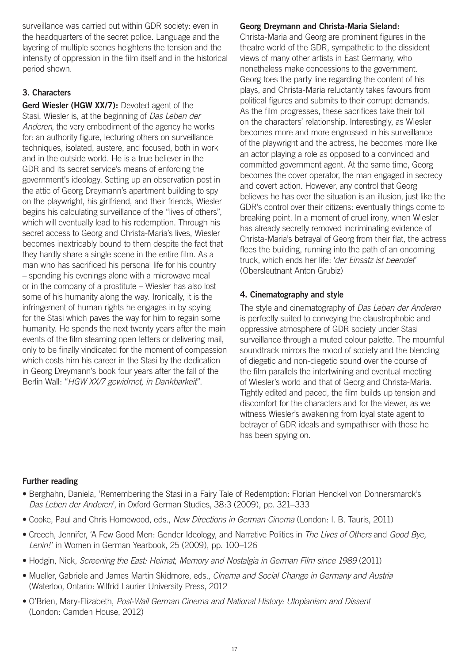surveillance was carried out within GDR society: even in the headquarters of the secret police. Language and the layering of multiple scenes heightens the tension and the intensity of oppression in the film itself and in the historical period shown.

# **3. Characters**

**Gerd Wiesler (HGW XX/7):** Devoted agent of the Stasi, Wiesler is, at the beginning of *Das Leben der Anderen*, the very embodiment of the agency he works for: an authority figure, lecturing others on surveillance techniques, isolated, austere, and focused, both in work and in the outside world. He is a true believer in the GDR and its secret service's means of enforcing the government's ideology. Setting up an observation post in the attic of Georg Dreymann's apartment building to spy on the playwright, his girlfriend, and their friends, Wiesler begins his calculating surveillance of the "lives of others", which will eventually lead to his redemption. Through his secret access to Georg and Christa-Maria's lives, Wiesler becomes inextricably bound to them despite the fact that they hardly share a single scene in the entire film. As a man who has sacrificed his personal life for his country – spending his evenings alone with a microwave meal or in the company of a prostitute – Wiesler has also lost some of his humanity along the way. Ironically, it is the infringement of human rights he engages in by spying for the Stasi which paves the way for him to regain some humanity. He spends the next twenty years after the main events of the film steaming open letters or delivering mail, only to be finally vindicated for the moment of compassion which costs him his career in the Stasi by the dedication in Georg Dreymann's book four years after the fall of the Berlin Wall: "*HGW XX/7 gewidmet, in Dankbarkeit*".

# **Georg Dreymann and Christa-Maria Sieland:**

Christa-Maria and Georg are prominent figures in the theatre world of the GDR, sympathetic to the dissident views of many other artists in East Germany, who nonetheless make concessions to the government. Georg toes the party line regarding the content of his plays, and Christa-Maria reluctantly takes favours from political figures and submits to their corrupt demands. As the film progresses, these sacrifices take their toll on the characters' relationship. Interestingly, as Wiesler becomes more and more engrossed in his surveillance of the playwright and the actress, he becomes more like an actor playing a role as opposed to a convinced and committed government agent. At the same time, Georg becomes the cover operator, the man engaged in secrecy and covert action. However, any control that Georg believes he has over the situation is an illusion, just like the GDR's control over their citizens: eventually things come to breaking point. In a moment of cruel irony, when Wiesler has already secretly removed incriminating evidence of Christa-Maria's betrayal of Georg from their flat, the actress flees the building, running into the path of an oncoming truck, which ends her life: '*der Einsatz ist beendet*' (Obersleutnant Anton Grubiz)

# **4. Cinematography and style**

The style and cinematography of *Das Leben der Anderen* is perfectly suited to conveying the claustrophobic and oppressive atmosphere of GDR society under Stasi surveillance through a muted colour palette. The mournful soundtrack mirrors the mood of society and the blending of diegetic and non-diegetic sound over the course of the film parallels the intertwining and eventual meeting of Wiesler's world and that of Georg and Christa-Maria. Tightly edited and paced, the film builds up tension and discomfort for the characters and for the viewer, as we witness Wiesler's awakening from loyal state agent to betrayer of GDR ideals and sympathiser with those he has been spying on.

# **Further reading**

- Berghahn, Daniela, 'Remembering the Stasi in a Fairy Tale of Redemption: Florian Henckel von Donnersmarck's *Das Leben der Anderen*', in Oxford German Studies, 38:3 (2009), pp. 321–333
- Cooke, Paul and Chris Homewood, eds., *New Directions in German Cinema* (London: I. B. Tauris, 2011)
- Creech, Jennifer, 'A Few Good Men: Gender Ideology, and Narrative Politics in *The Lives of Others* and *Good Bye, Lenin!* ' in Women in German Yearbook, 25 (2009), pp. 100–126
- Hodgin, Nick, *Screening the East: Heimat, Memory and Nostalgia in German Film since 1989* (2011)
- Mueller, Gabriele and James Martin Skidmore, eds., *Cinema and Social Change in Germany and Austria* (Waterloo, Ontario: Wilfrid Laurier University Press, 2012
- O'Brien, Mary-Elizabeth, *Post-Wall German Cinema and National History: Utopianism and Dissent* (London: Camden House, 2012)